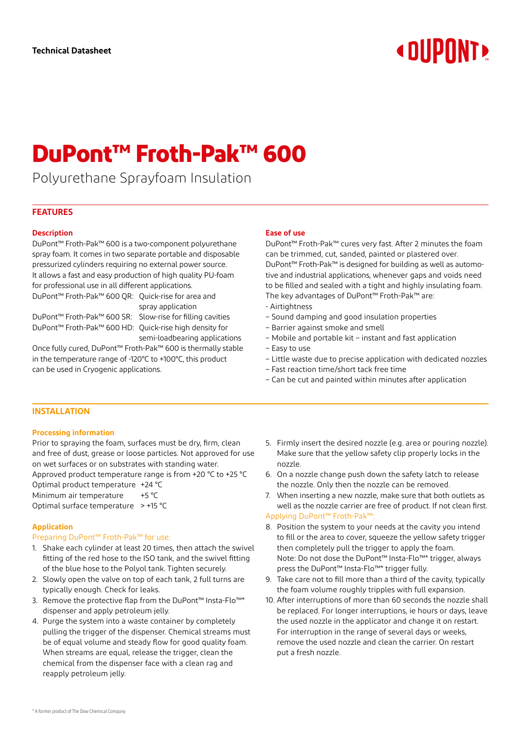# **« DIIPNNT»**

# **DuPont™ Froth-Pak™ 600**

Polyurethane Sprayfoam Insulation

# **FEATURES**

#### **Description**

DuPont™ Froth-Pak™ 600 is a two-component polyurethane spray foam. It comes in two separate portable and disposable pressurized cylinders requiring no external power source. It allows a fast and easy production of high quality PU-foam for professional use in all different applications.

DuPont™ Froth-Pak™ 600 QR: Quick-rise for area and spray application

DuPont™ Froth-Pak™ 600 HD: Quick-rise high density for

DuPont™ Froth-Pak™ 600 SR: Slow-rise for filling cavities semi-loadbearing applications

Once fully cured, DuPont™ Froth-Pak™ 600 is thermally stable in the temperature range of -120°C to +100°C, this product can be used in Cryogenic applications.

# **Ease of use**

DuPont™ Froth-Pak™ cures very fast. After 2 minutes the foam can be trimmed, cut, sanded, painted or plastered over. DuPont™ Froth-Pak™ is designed for building as well as automotive and industrial applications, whenever gaps and voids need to be filled and sealed with a tight and highly insulating foam. The key advantages of DuPont™ Froth-Pak™ are:

- Airtightness
- Sound damping and good insulation properties
- Barrier against smoke and smell
- Mobile and portable kit instant and fast application
- Easy to use
- Little waste due to precise application with dedicated nozzles
- Fast reaction time/short tack free time
- Can be cut and painted within minutes after application

# **INSTALLATION**

#### **Processing information**

Prior to spraying the foam, surfaces must be dry, firm, clean and free of dust, grease or loose particles. Not approved for use on wet surfaces or on substrates with standing water. Approved product temperature range is from +20 °C to +25 °C Optimal product temperature +24 °C Minimum air temperature +5 °C Optimal surface temperature > +15 °C

# **Application**

# Preparing DuPont™ Froth-Pak™ for use:

- 1. Shake each cylinder at least 20 times, then attach the swivel fitting of the red hose to the ISO tank, and the swivel fitting of the blue hose to the Polyol tank. Tighten securely.
- 2. Slowly open the valve on top of each tank, 2 full turns are typically enough. Check for leaks.
- 3. Remove the protective flap from the DuPont™ Insta-Flo™\* dispenser and apply petroleum jelly.
- 4. Purge the system into a waste container by completely pulling the trigger of the dispenser. Chemical streams must be of equal volume and steady flow for good quality foam. When streams are equal, release the trigger, clean the chemical from the dispenser face with a clean rag and reapply petroleum jelly.
- 5. Firmly insert the desired nozzle (e.g. area or pouring nozzle). Make sure that the yellow safety clip properly locks in the nozzle.
- 6. On a nozzle change push down the safety latch to release the nozzle. Only then the nozzle can be removed.
- 7. When inserting a new nozzle, make sure that both outlets as well as the nozzle carrier are free of product. If not clean first. Applying DuPont™ Froth-Pak™:
- 8. Position the system to your needs at the cavity you intend to fill or the area to cover, squeeze the yellow safety trigger then completely pull the trigger to apply the foam. Note: Do not dose the DuPont™ Insta-Flo™\* trigger, always press the DuPont™ Insta-Flo™\* trigger fully.
- 9. Take care not to fill more than a third of the cavity, typically the foam volume roughly tripples with full expansion.
- 10. After interruptions of more than 60 seconds the nozzle shall be replaced. For longer interruptions, ie hours or days, leave the used nozzle in the applicator and change it on restart. For interruption in the range of several days or weeks, remove the used nozzle and clean the carrier. On restart put a fresh nozzle.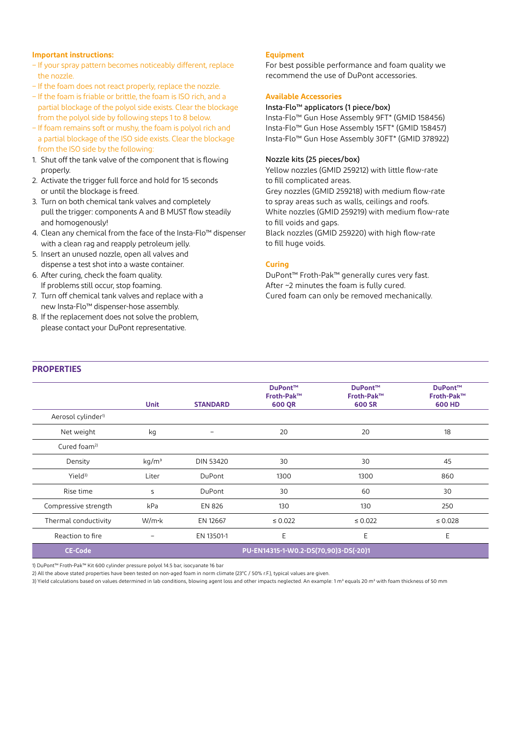#### **Important instructions:**

- If your spray pattern becomes noticeably different, replace the nozzle.
- If the foam does not react properly, replace the nozzle.
- If the foam is friable or brittle, the foam is ISO rich, and a partial blockage of the polyol side exists. Clear the blockage from the polyol side by following steps 1 to 8 below.
- If foam remains soft or mushy, the foam is polyol rich and a partial blockage of the ISO side exists. Clear the blockage from the ISO side by the following:
- 1. Shut off the tank valve of the component that is flowing properly.
- 2. Activate the trigger full force and hold for 15 seconds or until the blockage is freed.
- 3. Turn on both chemical tank valves and completely pull the trigger: components A and B MUST flow steadily and homogenously!
- 4. Clean any chemical from the face of the Insta-Flo™ dispenser with a clean rag and reapply petroleum jelly.
- 5. Insert an unused nozzle, open all valves and dispense a test shot into a waste container.
- 6. After curing, check the foam quality. If problems still occur, stop foaming.
- 7. Turn off chemical tank valves and replace with a new Insta-Flo™ dispenser-hose assembly.
- 8. If the replacement does not solve the problem, please contact your DuPont representative.

#### **Equipment**

For best possible performance and foam quality we recommend the use of DuPont accessories.

#### **Available Accessories**

#### Insta-Flo™ applicators (1 piece/box)

Insta-Flo™ Gun Hose Assembly 9FT\* (GMID 158456) Insta-Flo™ Gun Hose Assembly 15FT\* (GMID 158457) Insta-Flo™ Gun Hose Assembly 30FT\* (GMID 378922)

#### Nozzle kits (25 pieces/box)

Yellow nozzles (GMID 259212) with little flow-rate to fill complicated areas. Grey nozzles (GMID 259218) with medium flow-rate to spray areas such as walls, ceilings and roofs. White nozzles (GMID 259219) with medium flow-rate to fill voids and gaps. Black nozzles (GMID 259220) with high flow-rate to fill huge voids.

#### **Curing**

DuPont™ Froth-Pak™ generally cures very fast. After ~2 minutes the foam is fully cured. Cured foam can only be removed mechanically.

# **PROPERTIES**

|                                | <b>Unit</b>                           | <b>STANDARD</b>   | <b>DuPont™</b><br>Froth-Pak™<br>600 QR | DuPont™<br>Froth-Pak™<br><b>600 SR</b> | DuPont™<br>Froth-Pak™<br><b>600 HD</b> |
|--------------------------------|---------------------------------------|-------------------|----------------------------------------|----------------------------------------|----------------------------------------|
| Aerosol cylinder <sup>1)</sup> |                                       |                   |                                        |                                        |                                        |
| Net weight                     | kg                                    | $\qquad \qquad -$ | 20                                     | 20                                     | 18                                     |
| Cured foam <sup>2)</sup>       |                                       |                   |                                        |                                        |                                        |
| Density                        | kg/m <sup>3</sup>                     | <b>DIN 53420</b>  | 30                                     | 30                                     | 45                                     |
| $Yield^{3)}$                   | Liter                                 | DuPont            | 1300                                   | 1300                                   | 860                                    |
| Rise time                      | S                                     | DuPont            | 30                                     | 60                                     | 30                                     |
| Compressive strength           | kPa                                   | <b>EN 826</b>     | 130                                    | 130                                    | 250                                    |
| Thermal conductivity           | W/m·k                                 | EN 12667          | $\leq 0.022$                           | $\leq 0.022$                           | $\leq 0.028$                           |
| Reaction to fire               |                                       | EN 13501-1        | E                                      | E                                      | E                                      |
| <b>CE-Code</b>                 | PU-EN14315-1-W0.2-DS(70,90)3-DS(-20)1 |                   |                                        |                                        |                                        |

1) DuPont™ Froth-Pak™ Kit 600 cylinder pressure polyol 14.5 bar, isocyanate 16 bar

2) All the above stated properties have been tested on non-aged foam in norm climate (23°C / 50% r.F.), typical values are given.

3) Yield calculations based on values determined in lab conditions, blowing agent loss and other impacts neglected. An example: 1 m<sup>3</sup> equals 20 m<sup>2</sup> with foam thickness of 50 mm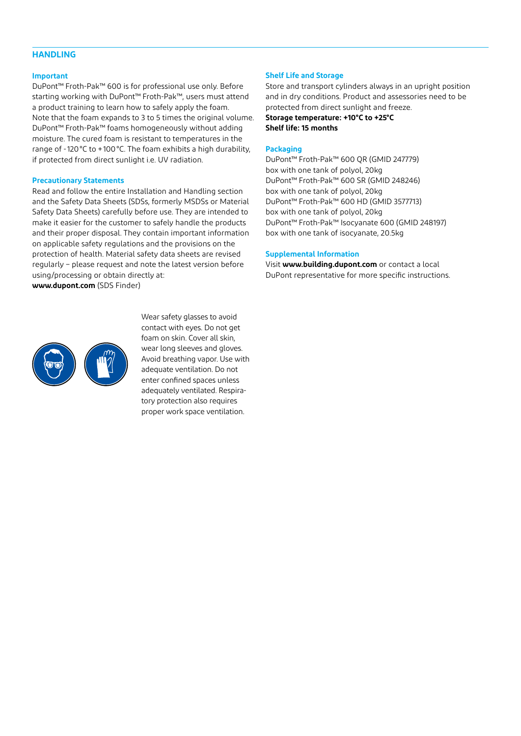# **HANDLING**

#### **Important**

DuPont™ Froth-Pak™ 600 is for professional use only. Before starting working with DuPont™ Froth-Pak™, users must attend a product training to learn how to safely apply the foam. Note that the foam expands to 3 to 5 times the original volume. DuPont™ Froth-Pak™ foams homogeneously without adding moisture. The cured foam is resistant to temperatures in the range of -120°C to +100°C. The foam exhibits a high durability, if protected from direct sunlight i.e. UV radiation.

#### **Precautionary Statements**

Read and follow the entire Installation and Handling section and the Safety Data Sheets (SDSs, formerly MSDSs or Material Safety Data Sheets) carefully before use. They are intended to make it easier for the customer to safely handle the products and their proper disposal. They contain important information on applicable safety regulations and the provisions on the protection of health. Material safety data sheets are revised regularly – please request and note the latest version before using/processing or obtain directly at: **www.dupont.com** (SDS Finder)



Wear safety glasses to avoid contact with eyes. Do not get foam on skin. Cover all skin, wear long sleeves and gloves. Avoid breathing vapor. Use with adequate ventilation. Do not enter confined spaces unless adequately ventilated. Respiratory protection also requires proper work space ventilation.

#### **Shelf Life and Storage**

Store and transport cylinders always in an upright position and in dry conditions. Product and assessories need to be protected from direct sunlight and freeze. **Storage temperature: +10°C to +25°C Shelf life: 15 months**

#### **Packaging**

DuPont™ Froth-Pak™ 600 QR (GMID 247779) box with one tank of polyol, 20kg DuPont™ Froth-Pak™ 600 SR (GMID 248246) box with one tank of polyol, 20kg DuPont™ Froth-Pak™ 600 HD (GMID 3577713) box with one tank of polyol, 20kg DuPont™ Froth-Pak™ Isocyanate 600 (GMID 248197) box with one tank of isocyanate, 20.5kg

#### **Supplemental Information**

Visit **www.building.dupont.com** or contact a local DuPont representative for more specific instructions.